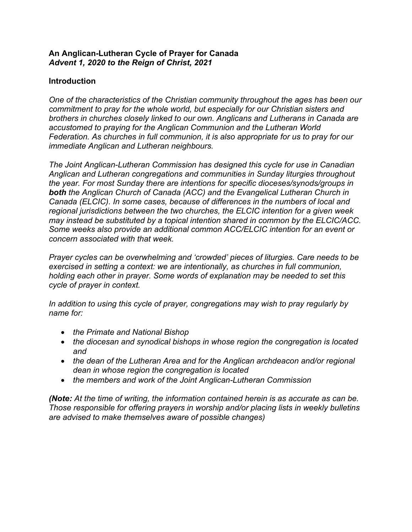## **An Anglican-Lutheran Cycle of Prayer for Canada** *Advent 1, 2020 to the Reign of Christ, 2021*

# **Introduction**

*One of the characteristics of the Christian community throughout the ages has been our commitment to pray for the whole world, but especially for our Christian sisters and brothers in churches closely linked to our own. Anglicans and Lutherans in Canada are accustomed to praying for the Anglican Communion and the Lutheran World Federation. As churches in full communion, it is also appropriate for us to pray for our immediate Anglican and Lutheran neighbours.*

*The Joint Anglican-Lutheran Commission has designed this cycle for use in Canadian Anglican and Lutheran congregations and communities in Sunday liturgies throughout the year. For most Sunday there are intentions for specific dioceses/synods/groups in both the Anglican Church of Canada (ACC) and the Evangelical Lutheran Church in Canada (ELCIC). In some cases, because of differences in the numbers of local and regional jurisdictions between the two churches, the ELCIC intention for a given week may instead be substituted by a topical intention shared in common by the ELCIC/ACC. Some weeks also provide an additional common ACC/ELCIC intention for an event or concern associated with that week.*

*Prayer cycles can be overwhelming and 'crowded' pieces of liturgies. Care needs to be exercised in setting a context: we are intentionally, as churches in full communion, holding each other in prayer. Some words of explanation may be needed to set this cycle of prayer in context.*

*In addition to using this cycle of prayer, congregations may wish to pray regularly by name for:*

- *the Primate and National Bishop*
- *the diocesan and synodical bishops in whose region the congregation is located and*
- *the dean of the Lutheran Area and for the Anglican archdeacon and/or regional dean in whose region the congregation is located*
- *the members and work of the Joint Anglican-Lutheran Commission*

*(Note: At the time of writing, the information contained herein is as accurate as can be. Those responsible for offering prayers in worship and/or placing lists in weekly bulletins are advised to make themselves aware of possible changes)*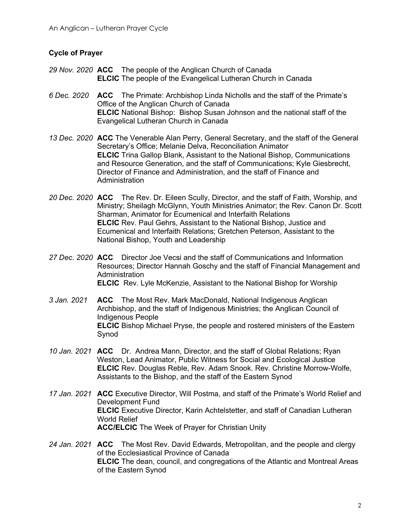### **Cycle of Prayer**

- *29 Nov. 2020* **ACC** The people of the Anglican Church of Canada **ELCIC** The people of the Evangelical Lutheran Church in Canada
- *6 Dec. 2020* **ACC** The Primate: Archbishop Linda Nicholls and the staff of the Primate's Office of the Anglican Church of Canada **ELCIC** National Bishop: Bishop Susan Johnson and the national staff of the Evangelical Lutheran Church in Canada
- *13 Dec. 2020* **ACC** The Venerable Alan Perry, General Secretary, and the staff of the General Secretary's Office; Melanie Delva, Reconciliation Animator **ELCIC** Trina Gallop Blank, Assistant to the National Bishop, Communications and Resource Generation, and the staff of Communications; Kyle Giesbrecht, Director of Finance and Administration, and the staff of Finance and Administration
- *20 Dec. 2020* **ACC** The Rev. Dr. Eileen Scully, Director, and the staff of Faith, Worship, and Ministry; Sheilagh McGlynn, Youth Ministries Animator; the Rev. Canon Dr. Scott Sharman, Animator for Ecumenical and Interfaith Relations **ELCIC** Rev. Paul Gehrs, Assistant to the National Bishop, Justice and Ecumenical and Interfaith Relations; Gretchen Peterson, Assistant to the National Bishop, Youth and Leadership
- *27 Dec. 2020* **ACC** Director Joe Vecsi and the staff of Communications and Information Resources; Director Hannah Goschy and the staff of Financial Management and Administration **ELCIC** Rev. Lyle McKenzie, Assistant to the National Bishop for Worship
- *3 Jan. 2021* **ACC** The Most Rev. Mark MacDonald, National Indigenous Anglican Archbishop, and the staff of Indigenous Ministries; the Anglican Council of Indigenous People **ELCIC** Bishop Michael Pryse, the people and rostered ministers of the Eastern Synod
- *10 Jan. 2021* **ACC** Dr. Andrea Mann, Director, and the staff of Global Relations; Ryan Weston, Lead Animator, Public Witness for Social and Ecological Justice **ELCIC** Rev. Douglas Reble, Rev. Adam Snook. Rev. Christine Morrow-Wolfe, Assistants to the Bishop, and the staff of the Eastern Synod
- *17 Jan. 2021* **ACC** Executive Director, Will Postma, and staff of the Primate's World Relief and Development Fund **ELCIC** Executive Director, Karin Achtelstetter, and staff of Canadian Lutheran World Relief **ACC/ELCIC** The Week of Prayer for Christian Unity
- *24 Jan. 2021* **ACC** The Most Rev. David Edwards, Metropolitan, and the people and clergy of the Ecclesiastical Province of Canada **ELCIC** The dean, council, and congregations of the Atlantic and Montreal Areas of the Eastern Synod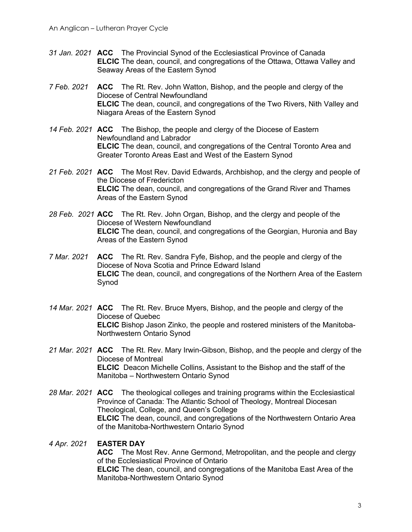- *31 Jan. 2021* **ACC** The Provincial Synod of the Ecclesiastical Province of Canada **ELCIC** The dean, council, and congregations of the Ottawa, Ottawa Valley and Seaway Areas of the Eastern Synod
- *7 Feb. 2021* **ACC** The Rt. Rev. John Watton, Bishop, and the people and clergy of the Diocese of Central Newfoundland **ELCIC** The dean, council, and congregations of the Two Rivers, Nith Valley and Niagara Areas of the Eastern Synod
- *14 Feb. 2021* **ACC** The Bishop, the people and clergy of the Diocese of Eastern Newfoundland and Labrador **ELCIC** The dean, council, and congregations of the Central Toronto Area and Greater Toronto Areas East and West of the Eastern Synod
- *21 Feb. 2021* **ACC** The Most Rev. David Edwards, Archbishop, and the clergy and people of the Diocese of Fredericton **ELCIC** The dean, council, and congregations of the Grand River and Thames Areas of the Eastern Synod
- *28 Feb. 2021* **ACC** The Rt. Rev. John Organ, Bishop, and the clergy and people of the Diocese of Western Newfoundland **ELCIC** The dean, council, and congregations of the Georgian, Huronia and Bay Areas of the Eastern Synod
- *7 Mar. 2021* **ACC** The Rt. Rev. Sandra Fyfe, Bishop, and the people and clergy of the Diocese of Nova Scotia and Prince Edward Island **ELCIC** The dean, council, and congregations of the Northern Area of the Eastern Synod
- *14 Mar. 2021* **ACC** The Rt. Rev. Bruce Myers, Bishop, and the people and clergy of the Diocese of Quebec **ELCIC** Bishop Jason Zinko, the people and rostered ministers of the Manitoba-Northwestern Ontario Synod
- *21 Mar. 2021* **ACC** The Rt. Rev. Mary Irwin-Gibson, Bishop, and the people and clergy of the Diocese of Montreal **ELCIC** Deacon Michelle Collins, Assistant to the Bishop and the staff of the Manitoba – Northwestern Ontario Synod
- *28 Mar. 2021* **ACC** The theological colleges and training programs within the Ecclesiastical Province of Canada: The Atlantic School of Theology, Montreal Diocesan Theological, College, and Queen's College **ELCIC** The dean, council, and congregations of the Northwestern Ontario Area of the Manitoba-Northwestern Ontario Synod

#### *4 Apr. 2021* **EASTER DAY**

**ACC** The Most Rev. Anne Germond, Metropolitan, and the people and clergy of the Ecclesiastical Province of Ontario **ELCIC** The dean, council, and congregations of the Manitoba East Area of the Manitoba-Northwestern Ontario Synod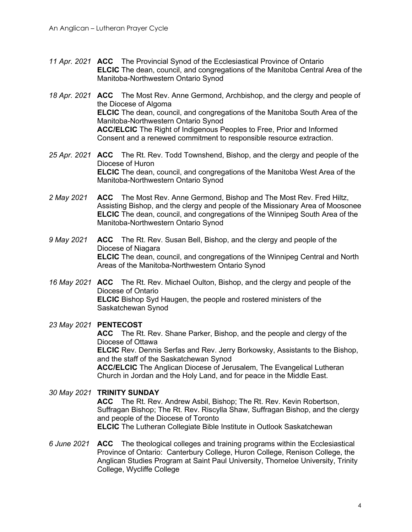- *11 Apr. 2021* **ACC** The Provincial Synod of the Ecclesiastical Province of Ontario **ELCIC** The dean, council, and congregations of the Manitoba Central Area of the Manitoba-Northwestern Ontario Synod
- *18 Apr. 2021* **ACC** The Most Rev. Anne Germond, Archbishop, and the clergy and people of the Diocese of Algoma **ELCIC** The dean, council, and congregations of the Manitoba South Area of the Manitoba-Northwestern Ontario Synod **ACC/ELCIC** The Right of Indigenous Peoples to Free, Prior and Informed Consent and a renewed commitment to responsible resource extraction.
- *25 Apr. 2021* **ACC** The Rt. Rev. Todd Townshend, Bishop, and the clergy and people of the Diocese of Huron **ELCIC** The dean, council, and congregations of the Manitoba West Area of the Manitoba-Northwestern Ontario Synod
- *2 May 2021* **ACC** The Most Rev. Anne Germond, Bishop and The Most Rev. Fred Hiltz, Assisting Bishop, and the clergy and people of the Missionary Area of Moosonee **ELCIC** The dean, council, and congregations of the Winnipeg South Area of the Manitoba-Northwestern Ontario Synod
- *9 May 2021* **ACC** The Rt. Rev. Susan Bell, Bishop, and the clergy and people of the Diocese of Niagara **ELCIC** The dean, council, and congregations of the Winnipeg Central and North Areas of the Manitoba-Northwestern Ontario Synod
- *16 May 2021* **ACC** The Rt. Rev. Michael Oulton, Bishop, and the clergy and people of the Diocese of Ontario **ELCIC** Bishop Syd Haugen, the people and rostered ministers of the Saskatchewan Synod

#### *23 May 2021* **PENTECOST**

**ACC** The Rt. Rev. Shane Parker, Bishop, and the people and clergy of the Diocese of Ottawa **ELCIC** Rev. Dennis Serfas and Rev. Jerry Borkowsky, Assistants to the Bishop,

and the staff of the Saskatchewan Synod **ACC/ELCIC** The Anglican Diocese of Jerusalem, The Evangelical Lutheran Church in Jordan and the Holy Land, and for peace in the Middle East.

## *30 May 2021* **TRINITY SUNDAY ACC** The Rt. Rev. Andrew Asbil, Bishop; The Rt. Rev. Kevin Robertson, Suffragan Bishop; The Rt. Rev. Riscylla Shaw, Suffragan Bishop, and the clergy and people of the Diocese of Toronto **ELCIC** The Lutheran Collegiate Bible Institute in Outlook Saskatchewan

*6 June 2021* **ACC** The theological colleges and training programs within the Ecclesiastical Province of Ontario: Canterbury College, Huron College, Renison College, the Anglican Studies Program at Saint Paul University, Thorneloe University, Trinity College, Wycliffe College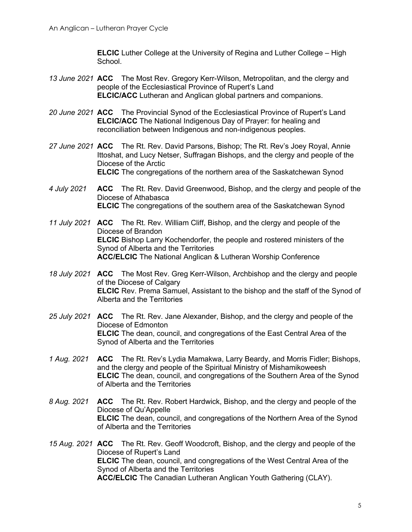**ELCIC** Luther College at the University of Regina and Luther College – High School.

- *13 June 2021* **ACC** The Most Rev. Gregory Kerr-Wilson, Metropolitan, and the clergy and people of the Ecclesiastical Province of Rupert's Land **ELCIC/ACC** Lutheran and Anglican global partners and companions.
- *20 June 2021* **ACC** The Provincial Synod of the Ecclesiastical Province of Rupert's Land **ELCIC/ACC** The National Indigenous Day of Prayer: for healing and reconciliation between Indigenous and non-indigenous peoples.
- *27 June 2021* **ACC** The Rt. Rev. David Parsons, Bishop; The Rt. Rev's Joey Royal, Annie Ittoshat, and Lucy Netser, Suffragan Bishops, and the clergy and people of the Diocese of the Arctic **ELCIC** The congregations of the northern area of the Saskatchewan Synod
- *4 July 2021* **ACC** The Rt. Rev. David Greenwood, Bishop, and the clergy and people of the Diocese of Athabasca **ELCIC** The congregations of the southern area of the Saskatchewan Synod
- *11 July 2021* **ACC** The Rt. Rev. William Cliff, Bishop, and the clergy and people of the Diocese of Brandon **ELCIC** Bishop Larry Kochendorfer, the people and rostered ministers of the Synod of Alberta and the Territories **ACC/ELCIC** The National Anglican & Lutheran Worship Conference
- *18 July 2021* **ACC** The Most Rev. Greg Kerr-Wilson, Archbishop and the clergy and people of the Diocese of Calgary **ELCIC** Rev. Prema Samuel, Assistant to the bishop and the staff of the Synod of Alberta and the Territories
- *25 July 2021* **ACC** The Rt. Rev. Jane Alexander, Bishop, and the clergy and people of the Diocese of Edmonton **ELCIC** The dean, council, and congregations of the East Central Area of the Synod of Alberta and the Territories
- *1 Aug. 2021* **ACC** The Rt. Rev's Lydia Mamakwa, Larry Beardy, and Morris Fidler; Bishops, and the clergy and people of the Spiritual Ministry of Mishamikoweesh **ELCIC** The dean, council, and congregations of the Southern Area of the Synod of Alberta and the Territories
- *8 Aug. 2021* **ACC** The Rt. Rev. Robert Hardwick, Bishop, and the clergy and people of the Diocese of Qu'Appelle **ELCIC** The dean, council, and congregations of the Northern Area of the Synod of Alberta and the Territories
- *15 Aug. 2021* **ACC** The Rt. Rev. Geoff Woodcroft, Bishop, and the clergy and people of the Diocese of Rupert's Land **ELCIC** The dean, council, and congregations of the West Central Area of the Synod of Alberta and the Territories **ACC/ELCIC** The Canadian Lutheran Anglican Youth Gathering (CLAY).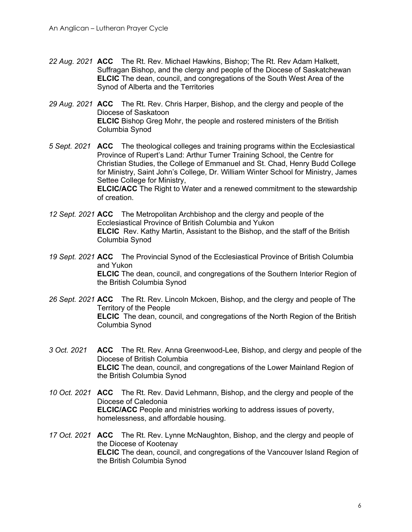- *22 Aug. 2021* **ACC** The Rt. Rev. Michael Hawkins, Bishop; The Rt. Rev Adam Halkett, Suffragan Bishop, and the clergy and people of the Diocese of Saskatchewan **ELCIC** The dean, council, and congregations of the South West Area of the Synod of Alberta and the Territories
- *29 Aug. 2021* **ACC** The Rt. Rev. Chris Harper, Bishop, and the clergy and people of the Diocese of Saskatoon **ELCIC** Bishop Greg Mohr, the people and rostered ministers of the British Columbia Synod
- *5 Sept. 2021* **ACC** The theological colleges and training programs within the Ecclesiastical Province of Rupert's Land: Arthur Turner Training School, the Centre for Christian Studies, the College of Emmanuel and St. Chad, Henry Budd College for Ministry, Saint John's College, Dr. William Winter School for Ministry, James Settee College for Ministry, **ELCIC/ACC** The Right to Water and a renewed commitment to the stewardship of creation.
- *12 Sept. 2021* **ACC** The Metropolitan Archbishop and the clergy and people of the Ecclesiastical Province of British Columbia and Yukon **ELCIC** Rev. Kathy Martin, Assistant to the Bishop, and the staff of the British Columbia Synod
- *19 Sept. 2021* **ACC** The Provincial Synod of the Ecclesiastical Province of British Columbia and Yukon **ELCIC** The dean, council, and congregations of the Southern Interior Region of the British Columbia Synod
- *26 Sept. 2021* **ACC** The Rt. Rev. Lincoln Mckoen, Bishop, and the clergy and people of The Territory of the People **ELCIC** The dean, council, and congregations of the North Region of the British Columbia Synod
- *3 Oct. 2021* **ACC** The Rt. Rev. Anna Greenwood-Lee, Bishop, and clergy and people of the Diocese of British Columbia **ELCIC** The dean, council, and congregations of the Lower Mainland Region of the British Columbia Synod
- *10 Oct. 2021* **ACC** The Rt. Rev. David Lehmann, Bishop, and the clergy and people of the Diocese of Caledonia **ELCIC/ACC** People and ministries working to address issues of poverty, homelessness, and affordable housing.
- *17 Oct. 2021* **ACC** The Rt. Rev. Lynne McNaughton, Bishop, and the clergy and people of the Diocese of Kootenay **ELCIC** The dean, council, and congregations of the Vancouver Island Region of the British Columbia Synod